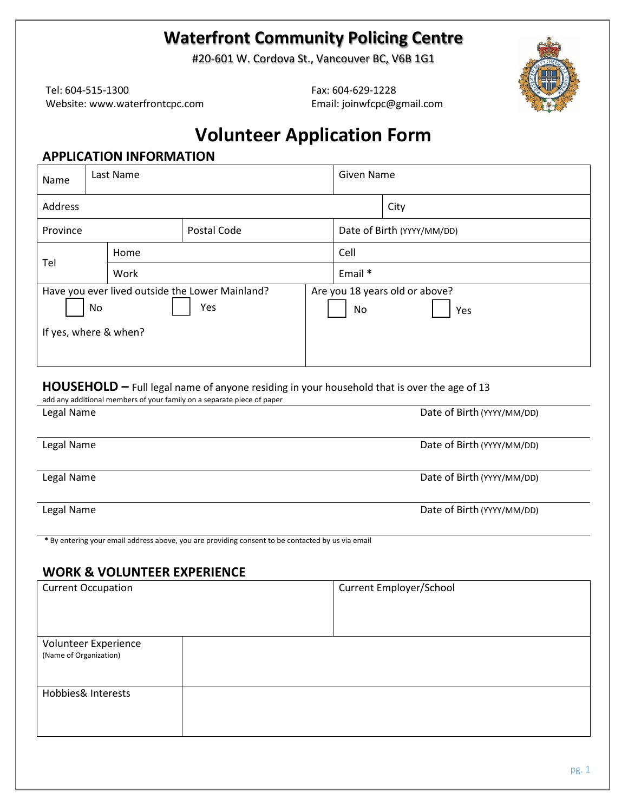## **Waterfront Community Policing Centre**

#20-601 W. Cordova St., Vancouver BC, V6B 1G1

Tel: 604-515-1300 Website: www.waterfrontcpc.com Fax: 604-629-1228 Email: joinwfcpc@gmail.com



# **Volunteer Application Form**

### **APPLICATION INFORMATION**

| Name     | Last Name                                                                      |             |  | Given Name |                                       |  |
|----------|--------------------------------------------------------------------------------|-------------|--|------------|---------------------------------------|--|
| Address  |                                                                                | City        |  |            |                                       |  |
| Province |                                                                                | Postal Code |  |            | Date of Birth (YYYY/MM/DD)            |  |
| Tel      | Home                                                                           |             |  | Cell       |                                       |  |
|          | Work                                                                           |             |  |            |                                       |  |
|          | Have you ever lived outside the Lower Mainland?<br>No<br>If yes, where & when? | Yes         |  | No         | Are you 18 years old or above?<br>Yes |  |

#### **HOUSEHOLD –** Full legal name of anyone residing in your household that is over the age of 13

| Legal Name | Date of Birth (YYYY/MM/DD) |
|------------|----------------------------|
| Legal Name | Date of Birth (YYYY/MM/DD) |
| Legal Name | Date of Birth (YYYY/MM/DD) |
| Legal Name | Date of Birth (YYYY/MM/DD) |

### **WORK & VOLUNTEER EXPERIENCE**

| <b>Current Occupation</b>                      | Current Employer/School |
|------------------------------------------------|-------------------------|
| Volunteer Experience<br>(Name of Organization) |                         |
| Hobbies& Interests                             |                         |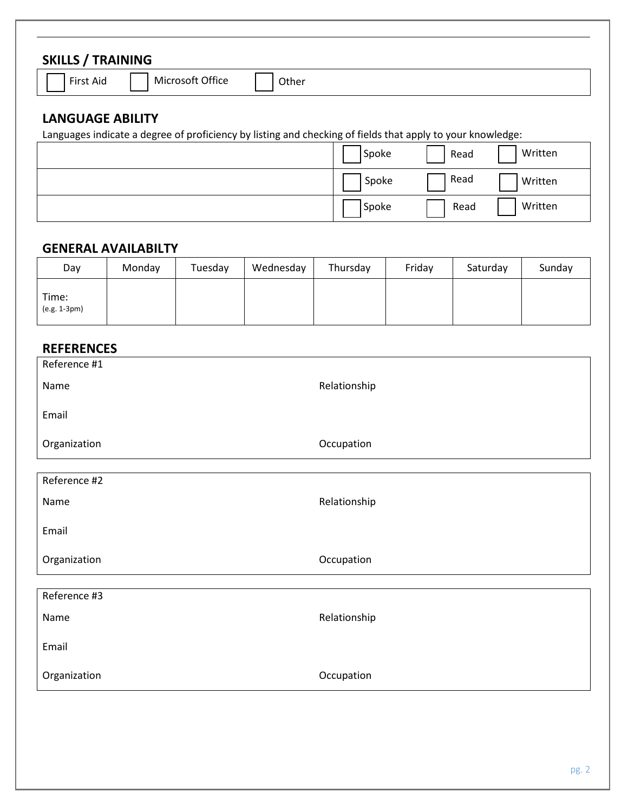### **SKILLS / TRAINING**

Aid | | Microsoft Office | | Other

### **LANGUAGE ABILITY**

Languages indicate a degree of proficiency by listing and checking of fields that apply to your knowledge:

| Spoke | Read | Written |
|-------|------|---------|
| Spoke | Read | Written |
| Spoke | Read | Written |

### **GENERAL AVAILABILTY**

| Day                   | Monday | Tuesday | Wednesday | Thursday | Friday | Saturday | Sunday |
|-----------------------|--------|---------|-----------|----------|--------|----------|--------|
| Time:<br>(e.g. 1-3pm) |        |         |           |          |        |          |        |

## **REFERENCES**

| Reference #1 |              |
|--------------|--------------|
| Name         | Relationship |
| Email        |              |
| Organization | Occupation   |
|              |              |
| Reference #2 |              |
| Name         | Relationship |
| Email        |              |
| Organization | Occupation   |
|              |              |
| Reference #3 |              |
| Name         | Relationship |
| Email        |              |
| Organization | Occupation   |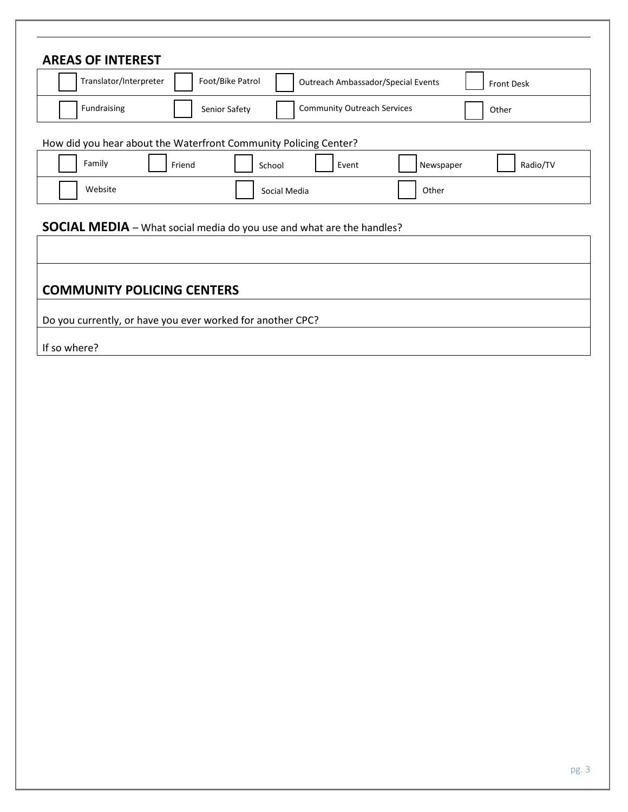| <b>AREAS OF INTEREST</b><br>Translator/Interpreter                                                                                                                                              |        | Foot/Bike Patrol |                                    | <b>Outreach Ambassador/Special Events</b> | Front Desk |
|-------------------------------------------------------------------------------------------------------------------------------------------------------------------------------------------------|--------|------------------|------------------------------------|-------------------------------------------|------------|
| Fundraising                                                                                                                                                                                     |        | Senior Safety    | <b>Community Outreach Services</b> |                                           | Other      |
| How did you hear about the Waterfront Community Policing Center?                                                                                                                                |        |                  |                                    |                                           |            |
| Family                                                                                                                                                                                          | Friend | School           | Event                              | Newspaper                                 | Radio/TV   |
| Website                                                                                                                                                                                         |        |                  | Social Media                       | Other                                     |            |
|                                                                                                                                                                                                 |        |                  |                                    |                                           |            |
|                                                                                                                                                                                                 |        |                  |                                    |                                           |            |
|                                                                                                                                                                                                 |        |                  |                                    |                                           |            |
| <b>SOCIAL MEDIA</b> - What social media do you use and what are the handles?<br><b>COMMUNITY POLICING CENTERS</b><br>Do you currently, or have you ever worked for another CPC?<br>If so where? |        |                  |                                    |                                           |            |
|                                                                                                                                                                                                 |        |                  |                                    |                                           |            |
|                                                                                                                                                                                                 |        |                  |                                    |                                           |            |
|                                                                                                                                                                                                 |        |                  |                                    |                                           |            |